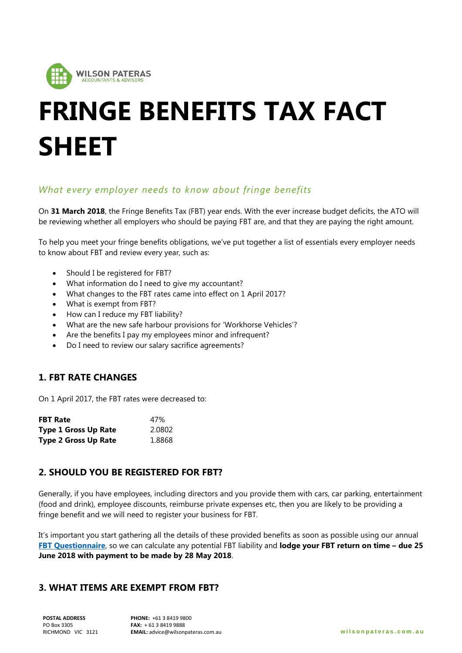

# **FRINGE BENEFITS TAX FACT SHEET**

## *What every employer needs to know about fringe benefits*

On **31 March 2018**, the Fringe Benefits Tax (FBT) year ends. With the ever increase budget deficits, the ATO will be reviewing whether all employers who should be paying FBT are, and that they are paying the right amount.

To help you meet your fringe benefits obligations, we've put together a list of essentials every employer needs to know about FBT and review every year, such as:

- Should I be registered for FBT?
- What information do I need to give my accountant?
- What changes to the FBT rates came into effect on 1 April 2017?
- What is exempt from FBT?
- How can I reduce my FBT liability?
- What are the new safe harbour provisions for 'Workhorse Vehicles'?
- Are the benefits I pay my employees minor and infrequent?
- Do I need to review our salary sacrifice agreements?

#### **1. FBT RATE CHANGES**

On 1 April 2017, the FBT rates were decreased to:

| <b>FBT Rate</b>             | 47%    |
|-----------------------------|--------|
| <b>Type 1 Gross Up Rate</b> | 2.0802 |
| <b>Type 2 Gross Up Rate</b> | 1.8868 |

#### **2. SHOULD YOU BE REGISTERED FOR FBT?**

Generally, if you have employees, including directors and you provide them with cars, car parking, entertainment (food and drink), employee discounts, reimburse private expenses etc, then you are likely to be providing a fringe benefit and we will need to register your business for FBT.

It's important you start gathering all the details of these provided benefits as soon as possible using our annual **[FBT Questionnaire](https://www.wilsonpateras.com.au/wp-content/uploads/2018/03/FBT-Checklist-Questionnaire.pdf)**, so we can calculate any potential FBT liability and **lodge your FBT return on time – due 25 June 2018 with payment to be made by 28 May 2018**.

## **3. WHAT ITEMS ARE EXEMPT FROM FBT?**

**POSTAL ADDRESS** PO Box 3305 RICHMOND VIC 3121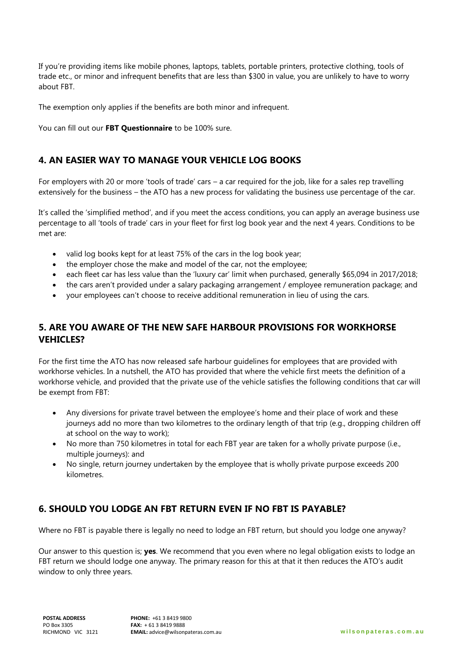If you're providing items like mobile phones, laptops, tablets, portable printers, protective clothing, tools of trade etc., or minor and infrequent benefits that are less than \$300 in value, you are unlikely to have to worry about FBT.

The exemption only applies if the benefits are both minor and infrequent.

You can fill out our **FBT Questionnaire** to be 100% sure.

#### **4. AN EASIER WAY TO MANAGE YOUR VEHICLE LOG BOOKS**

For employers with 20 or more 'tools of trade' cars – a car required for the job, like for a sales rep travelling extensively for the business – the ATO has a new process for validating the business use percentage of the car.

It's called the 'simplified method', and if you meet the access conditions, you can apply an average business use percentage to all 'tools of trade' cars in your fleet for first log book year and the next 4 years. Conditions to be met are:

- valid log books kept for at least 75% of the cars in the log book year;
- the employer chose the make and model of the car, not the employee;
- each fleet car has less value than the 'luxury car' limit when purchased, generally \$65,094 in 2017/2018;
- the cars aren't provided under a salary packaging arrangement / employee remuneration package; and
- your employees can't choose to receive additional remuneration in lieu of using the cars.

## **5. ARE YOU AWARE OF THE NEW SAFE HARBOUR PROVISIONS FOR WORKHORSE VEHICLES?**

For the first time the ATO has now released safe harbour guidelines for employees that are provided with workhorse vehicles. In a nutshell, the ATO has provided that where the vehicle first meets the definition of a workhorse vehicle, and provided that the private use of the vehicle satisfies the following conditions that car will be exempt from FBT:

- Any diversions for private travel between the employee's home and their place of work and these journeys add no more than two kilometres to the ordinary length of that trip (e.g., dropping children off at school on the way to work);
- No more than 750 kilometres in total for each FBT year are taken for a wholly private purpose (i.e., multiple journeys): and
- No single, return journey undertaken by the employee that is wholly private purpose exceeds 200 kilometres.

## **6. SHOULD YOU LODGE AN FBT RETURN EVEN IF NO FBT IS PAYABLE?**

Where no FBT is payable there is legally no need to lodge an FBT return, but should you lodge one anyway?

Our answer to this question is; **yes**. We recommend that you even where no legal obligation exists to lodge an FBT return we should lodge one anyway. The primary reason for this at that it then reduces the ATO's audit window to only three years.